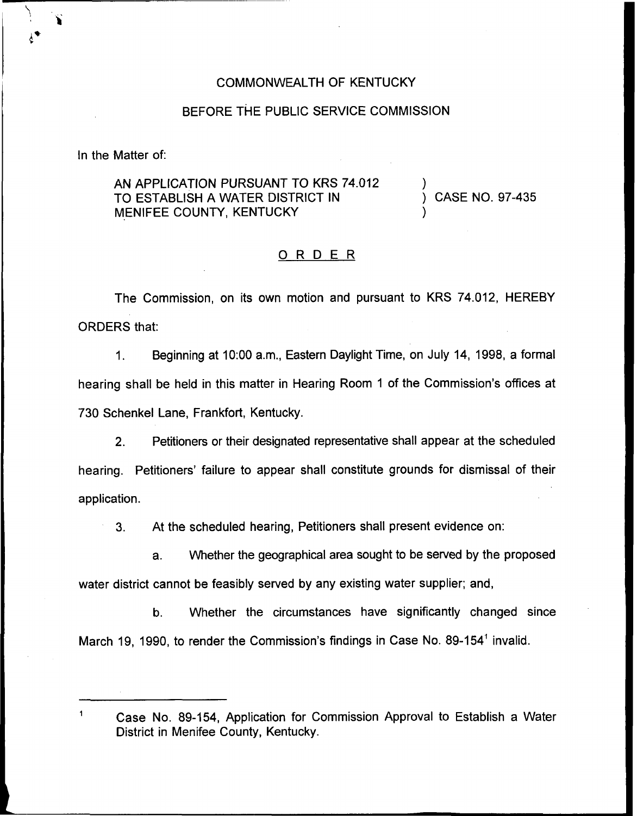## COMMONWEALTH OF KENTUCKY

## BEFORE THE PUBLIC SERVICE COMMISSION

In the Matter of:

 $\mathbf{1}$ 

AN APPLICATION PURSUANT TO KRS 74.012 TO ESTABLISH A WATER DISTRICT IN MENIFEE COUNTY, KENTUCKY

) ) CASE NO. 97-435

)

## ORDER

The Commission, on its own motion and pursuant to KRS 74.012, HEREBY ORDERS that:

Beginning at 10:00 a.m., Eastern Daylight Time, on July 14, 1998, a formal  $1<sub>1</sub>$ hearing shall be held in this matter in Hearing Room <sup>1</sup> of the Commission's offices at 730 Schenkel Lane, Frankfort, Kentucky.

 $2.$ Petitioners or their designated representative shall appear at the scheduled hearing. Petitioners' failure to appear shall constitute grounds for dismissal of their application.

3. At the scheduled hearing, Petitioners shall present evidence on:

a. Whether the geographical area sought to be served by the proposed water district cannot be feasibly served by any existing water supplier; and,

b. Whether the circumstances have significantly changed since March 19, 1990, to render the Commission's findings in Case No. 89-154" invalid.

Case No. 89-154, Application for Commission Approval to Establish a Water District in Menifee County, Kentucky.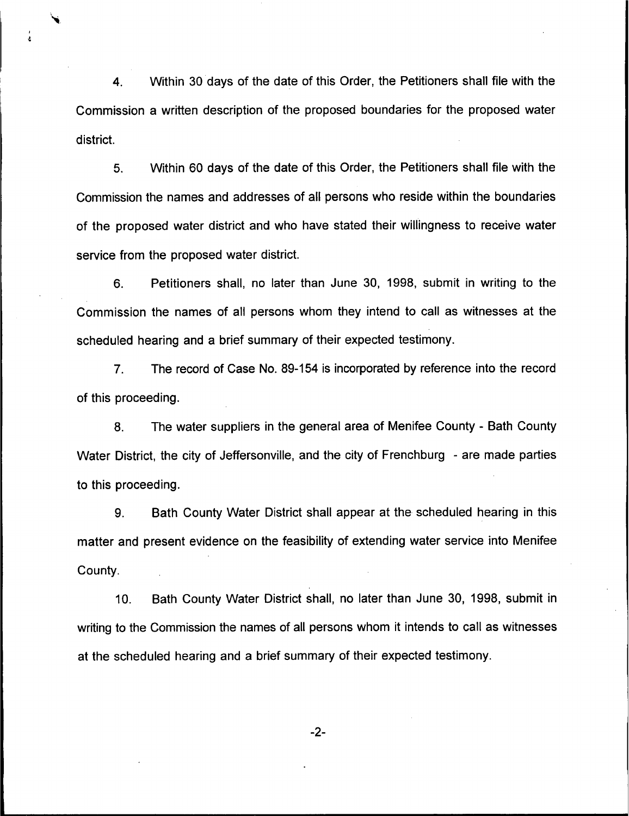4. Within 30 days of the date of this Order, the Petitioners shall file with the Commission a written description of the proposed boundaries for the proposed water district.

5. Within 60 days of the date of this Order, the Petitioners shall file with the Commission the names and addresses of all persons who reside within the boundaries of the proposed water district and who have stated their willingness to receive water service from the proposed water district.

6. Petitioners shall, no later than June 30, 1998, submit in writing to the Commission the names of all persons whom they intend to call as witnesses at the scheduled hearing and a brief summary of their expected testimony.

7. The record of Case No. 89-154 is incorporated by reference into the record of this proceeding.

8. The water suppliers in the general area of Menifee County - Bath County Water District, the city of Jeffersonville, and the city of Frenchburg - are made parties to this proceeding.

9. Bath County Water District shall appear at the scheduled hearing in this matter and present evidence on the feasibility of extending water service into Menifee County.

10. Bath County Water District shall, no later than June 30, 1998, submit in writing to the Commission the names of all persons whom it intends to call as witnesses at the scheduled hearing and a brief summary of their expected testimony.

-2-